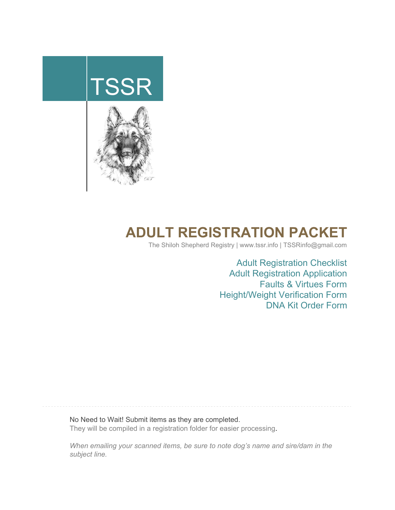



## **ADULT REGISTRATION PACKET**

The Shiloh Shepherd Registry | www.tssr.info | TSSRinfo@gmail.com

Adult Registration Checklist Adult Registration Application Faults & Virtues Form Height/Weight Verification Form DNA Kit Order Form

No Need to Wait! Submit items as they are completed. They will be compiled in a registration folder for easier processing.

*When emailing your scanned items, be sure to note dog's name and sire/dam in the subject line.*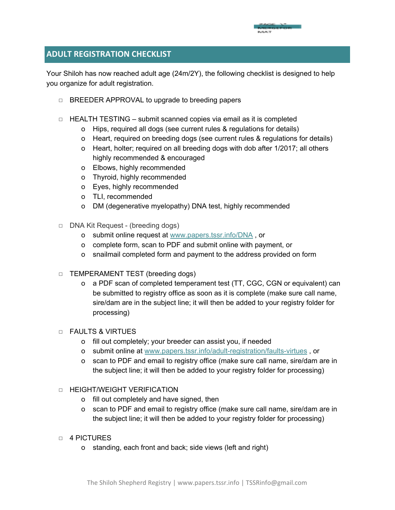

### **ADULT REGISTRATION CHECKLIST**

Your Shiloh has now reached adult age (24m/2Y), the following checklist is designed to help you organize for adult registration.

- ◻ BREEDER APPROVAL to upgrade to breeding papers
- ◻ HEALTH TESTING submit scanned copies via email as it is completed
	- o Hips, required all dogs (see current rules & regulations for details)
	- o Heart, required on breeding dogs (see current rules & regulations for details)
	- o Heart, holter; required on all breeding dogs with dob after 1/2017; all others highly recommended & encouraged
	- o Elbows, highly recommended
	- o Thyroid, highly recommended
	- o Eyes, highly recommended
	- o TLI, recommended
	- o DM (degenerative myelopathy) DNA test, highly recommended
- ◻ DNA Kit Request (breeding dogs)
	- o submit online request at [www.papers.tssr.info/DNA](http://www.papers.tssr.info/DNA) , or
	- o complete form, scan to PDF and submit online with payment, or
	- o snailmail completed form and payment to the address provided on form
- ◻ TEMPERAMENT TEST (breeding dogs)
	- o a PDF scan of completed temperament test (TT, CGC, CGN or equivalent) can be submitted to registry office as soon as it is complete (make sure call name, sire/dam are in the subject line; it will then be added to your registry folder for processing)

### ◻ FAULTS & VIRTUES

- o fill out completely; your breeder can assist you, if needed
- o submit online at [www.papers.tssr.info/adult-registration/faults-virtues](http://papers.tssr.info/adult-registration/faults-virtues/) , or
- o scan to PDF and email to registry office (make sure call name, sire/dam are in the subject line; it will then be added to your registry folder for processing)
- ◻ HEIGHT/WEIGHT VERIFICATION
	- o fill out completely and have signed, then
	- o scan to PDF and email to registry office (make sure call name, sire/dam are in the subject line; it will then be added to your registry folder for processing)
- ◻ 4 PICTURES
	- o standing, each front and back; side views (left and right)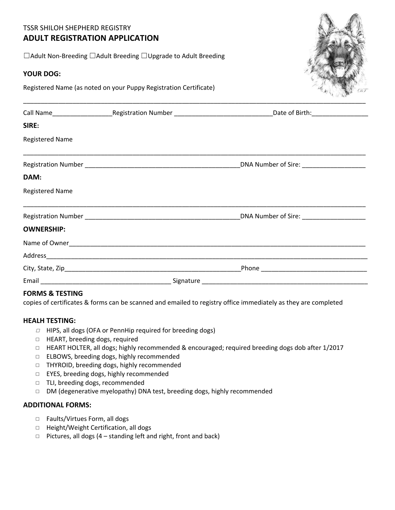### TSSR SHILOH SHEPHERD REGISTRY **ADULT REGISTRATION APPLICATION**

☐Adult Non-Breeding ☐Adult Breeding ☐Upgrade to Adult Breeding

#### **YOUR DOG:**

Registered Name (as noted on your Puppy Registration Certificate)

|                        | Call Name______________________________Registration Number ______________________ | Date of Birth:___________________        |
|------------------------|-----------------------------------------------------------------------------------|------------------------------------------|
| SIRE:                  |                                                                                   |                                          |
| <b>Registered Name</b> |                                                                                   |                                          |
|                        |                                                                                   | DNA Number of Sire: ____________________ |
| DAM:                   |                                                                                   |                                          |
| <b>Registered Name</b> |                                                                                   |                                          |
|                        |                                                                                   |                                          |
|                        |                                                                                   | DNA Number of Sire: ___________________  |
| <b>OWNERSHIP:</b>      |                                                                                   |                                          |
|                        |                                                                                   |                                          |
|                        |                                                                                   |                                          |
|                        |                                                                                   |                                          |
|                        |                                                                                   |                                          |

### **FORMS & TESTING**

copies of certificates & forms can be scanned and emailed to registry office immediately as they are completed

#### **HEALH TESTING:**

- $\square$  HIPS, all dogs (OFA or PennHip required for breeding dogs)
- ◻ HEART, breeding dogs, required
- ◻ HEART HOLTER, all dogs; highly recommended & encouraged; required breeding dogs dob after 1/2017
- ◻ ELBOWS, breeding dogs, highly recommended
- ◻ THYROID, breeding dogs, highly recommended
- ◻ EYES, breeding dogs, highly recommended
- ◻ TLI, breeding dogs, recommended
- ◻ DM (degenerative myelopathy) DNA test, breeding dogs, highly recommended

### **ADDITIONAL FORMS:**

- ◻ Faults/Virtues Form, all dogs
- ◻ Height/Weight Certification, all dogs
- ◻ Pictures, all dogs (4 standing left and right, front and back)

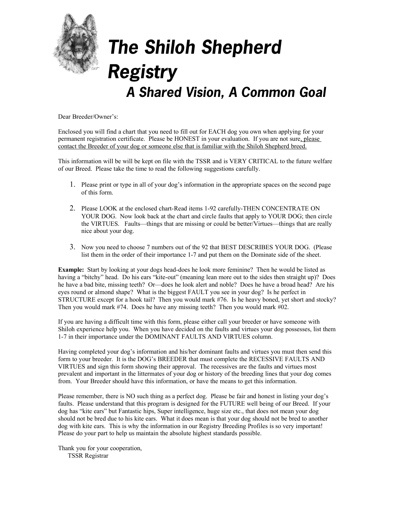

# **The Shiloh Shepherd Registry A Shared Vision, A Common Goal**

Dear Breeder/Owner's:

Enclosed you will find a chart that you need to fill out for EACH dog you own when applying for your permanent registration certificate. Please be HONEST in your evaluation. If you are not sure, please contact the Breeder of your dog or someone else that is familiar with the Shiloh Shepherd breed.

This information will be will be kept on file with the TSSR and is VERY CRITICAL to the future welfare of our Breed. Please take the time to read the following suggestions carefully.

- 1. Please print or type in all of your dog's information in the appropriate spaces on the second page of this form.
- 2. Please LOOK at the enclosed chart-Read items 1-92 carefully-THEN CONCENTRATE ON YOUR DOG. Now look back at the chart and circle faults that apply to YOUR DOG; then circle the VIRTUES. Faults—things that are missing or could be better/Virtues—things that are really nice about your dog.
- 3. Now you need to choose 7 numbers out of the 92 that BEST DESCRIBES YOUR DOG. (Please list them in the order of their importance 1-7 and put them on the Dominate side of the sheet.

**Example:** Start by looking at your dogs head-does he look more feminine? Then he would be listed as having a "bitchy" head. Do his ears "kite-out" (meaning lean more out to the sides then straight up)? Does he have a bad bite, missing teeth? Or—does he look alert and noble? Does he have a broad head? Are his eyes round or almond shape? What is the biggest FAULT you see in your dog? Is he perfect in STRUCTURE except for a hook tail? Then you would mark #76. Is he heavy boned, yet short and stocky? Then you would mark #74. Does he have any missing teeth? Then you would mark #02.

If you are having a difficult time with this form, please either call your breeder or have someone with Shiloh experience help you. When you have decided on the faults and virtues your dog possesses, list them 1-7 in their importance under the DOMINANT FAULTS AND VIRTUES column.

Having completed your dog's information and his/her dominant faults and virtues you must then send this form to your breeder. It is the DOG's BREEDER that must complete the RECESSIVE FAULTS AND VIRTUES and sign this form showing their approval. The recessives are the faults and virtues most prevalent and important in the littermates of your dog or history of the breeding lines that your dog comes from. Your Breeder should have this information, or have the means to get this information.

Please remember, there is NO such thing as a perfect dog. Please be fair and honest in listing your dog's faults. Please understand that this program is designed for the FUTURE well being of our Breed. If your dog has "kite ears" but Fantastic hips, Super intelligence, huge size etc., that does not mean your dog should not be bred due to his kite ears. What it does mean is that your dog should not be bred to another dog with kite ears. This is why the information in our Registry Breeding Profiles is so very important! Please do your part to help us maintain the absolute highest standards possible.

Thank you for your cooperation, TSSR Registrar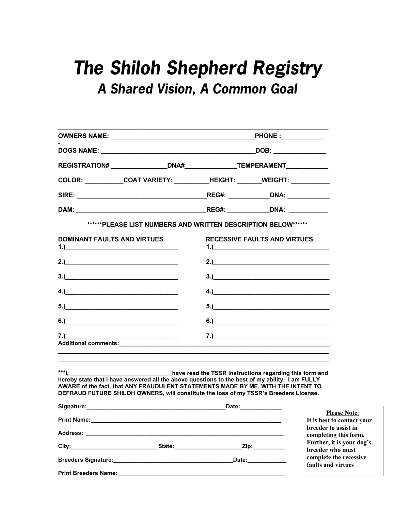# **The Shiloh Shepherd Registry A Shared Vision, A Common Goal**

| REGISTRATION# _________________DNA#________________TEMPERAMENT_____________                                                                                                                                                                                                                                                            |                                                               |       |                                                                                                                                                                                |                                                                        |
|----------------------------------------------------------------------------------------------------------------------------------------------------------------------------------------------------------------------------------------------------------------------------------------------------------------------------------------|---------------------------------------------------------------|-------|--------------------------------------------------------------------------------------------------------------------------------------------------------------------------------|------------------------------------------------------------------------|
| COLOR: ____________COAT VARIETY: __________HEIGHT: ________WEIGHT: _____________                                                                                                                                                                                                                                                       |                                                               |       |                                                                                                                                                                                |                                                                        |
|                                                                                                                                                                                                                                                                                                                                        |                                                               |       |                                                                                                                                                                                |                                                                        |
|                                                                                                                                                                                                                                                                                                                                        |                                                               |       |                                                                                                                                                                                |                                                                        |
|                                                                                                                                                                                                                                                                                                                                        | ******PLEASE LIST NUMBERS AND WRITTEN DESCRIPTION BELOW****** |       |                                                                                                                                                                                |                                                                        |
| <b>DOMINANT FAULTS AND VIRTUES</b>                                                                                                                                                                                                                                                                                                     |                                                               |       | <b>RECESSIVE FAULTS AND VIRTUES</b><br><u>1.)</u>                                                                                                                              |                                                                        |
| 2.)                                                                                                                                                                                                                                                                                                                                    |                                                               |       | 2.) $\qquad \qquad$                                                                                                                                                            |                                                                        |
| $3.$ )                                                                                                                                                                                                                                                                                                                                 |                                                               |       | 3.)                                                                                                                                                                            |                                                                        |
| $\left( \begin{array}{ccc} 4.1 & 0 & 0 \\ 0 & 0 & 0 \\ 0 & 0 & 0 \\ 0 & 0 & 0 \\ 0 & 0 & 0 \\ 0 & 0 & 0 \\ 0 & 0 & 0 \\ 0 & 0 & 0 \\ 0 & 0 & 0 \\ 0 & 0 & 0 \\ 0 & 0 & 0 \\ 0 & 0 & 0 \\ 0 & 0 & 0 \\ 0 & 0 & 0 \\ 0 & 0 & 0 \\ 0 & 0 & 0 & 0 \\ 0 & 0 & 0 & 0 \\ 0 & 0 & 0 & 0 \\ 0 & 0 & 0 & 0 \\ 0 & 0 & 0 & 0 \\ 0 & 0 & 0 & 0 & $ |                                                               |       | $\left( \begin{array}{ccc} 4.1 & \cdot & \cdot & \cdot \\ \cdot & \cdot & \cdot & \cdot \\ \cdot & \cdot & \cdot & \cdot \\ \cdot & \cdot & \cdot & \cdot \end{array} \right)$ |                                                                        |
| 5.)                                                                                                                                                                                                                                                                                                                                    |                                                               |       |                                                                                                                                                                                |                                                                        |
| 6.)                                                                                                                                                                                                                                                                                                                                    |                                                               |       | 6.)                                                                                                                                                                            |                                                                        |
| <u>7.)</u><br>Additional comments: Manual Comments: Additional Comments:                                                                                                                                                                                                                                                               |                                                               |       | <u>7.)</u>                                                                                                                                                                     |                                                                        |
| ***I, _________________________________have read the TSSR instructions regarding this form and<br>hereby state that I have answered all the above questions to the best of my ability. I am FULLY<br>AWARE of the fact, that ANY FRAUDULENT STATEMENTS MADE BY ME, WITH THE INTENT TO                                                  |                                                               |       |                                                                                                                                                                                |                                                                        |
| DEFRAUD FUTURE SHILOH OWNERS, will constitute the loss of my TSSR's Breeders License.                                                                                                                                                                                                                                                  |                                                               |       |                                                                                                                                                                                |                                                                        |
| Signature:                                                                                                                                                                                                                                                                                                                             |                                                               | Date: | the contract of the contract of the contract of the contract of the contract of the contract of the contract of                                                                | <b>Please Note:</b><br>It is best to contact your                      |
|                                                                                                                                                                                                                                                                                                                                        |                                                               |       |                                                                                                                                                                                | breeder to assist in                                                   |
|                                                                                                                                                                                                                                                                                                                                        |                                                               |       | _Zip:___________                                                                                                                                                               | completing this form.<br>Further, it is your dog's<br>breeder who must |
| Breeders Signature: Management of the Second Street and Second Street and Second Street and Second Street and S                                                                                                                                                                                                                        |                                                               |       | Date: <b>Example</b>                                                                                                                                                           | complete the recessive                                                 |
| <b>Print Breeders Name:</b>                                                                                                                                                                                                                                                                                                            |                                                               |       |                                                                                                                                                                                | faults and virtues                                                     |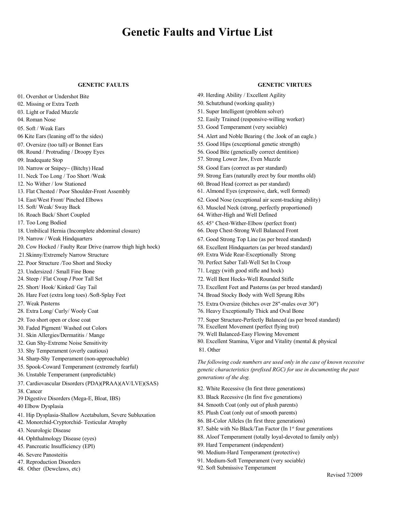### **Genetic Faults and Virtue List**

#### **GENETIC FAULTS**

- 01. Overshot or Undershot Bite
- 02. Missing or Extra Teeth
- 03. Light or Faded Muzzle
- 04. Roman Nose
- 05. Soft / Weak Ears
- 06 Kite Ears (leaning off to the sides)
- 07. Oversize (too tall) or Bonnet Ears
- 08. Round / Protruding / Droopy Eyes
- 09. Inadequate Stop
- 10. Narrow or Snipey~ (Bitchy) Head
- 11. Neck Too Long / Too Short /Weak
- 12. No Wither / low Stationed
- 13. Flat Chested / Poor Shoulder-Front Assembly
- 14. East/West Front/ Pinched Elbows
- 15. Soft/ Weak/ Sway Back
- 16. Roach Back/ Short Coupled
- 17. Too Long Bodied
- 18. Umbilical Hernia (Incomplete abdominal closure)
- 19. Narrow / Weak Hindquarters
- 20. Cow Hocked / Faulty Rear Drive (narrow thigh high hock)
- 21.Skinny/Extremely Narrow Structure
- 22. Poor Structure */*Too Short and Stocky
- 23. Undersized / Small Fine Bone
- 24. Steep / Flat Croup *I* Poor Tall Set
- 25. Short/ Hook/ Kinked/ Gay Tail
- 26. Hare Feet (extra long toes) */*Soft-Splay Feet
- 27. Weak Pasterns
- 28. Extra Long/ Curly/ Wooly Coat
- 29. Too short open or close coat
- 30. Faded Pigment/ Washed out Colors
- 31. Skin Allergies/Dermatitis / Mange
- 32. Gun Shy-Extreme Noise Sensitivity
- 33. Shy Temperament (overly cautious)
- 34. Sharp-Shy Temperament (non-approachable)
- 35. Spook-Coward Temperament (extremely fearful)
- 36. Unstable Temperament (unpredictable)
- 37. Cardiovascular Disorders (PDA)(PRAA)(AV/LVE)(SAS)
- 38. Cancer
- 39 Digestive Disorders (Mega-E, Bloat, IBS)
- 40 Elbow Dysplasia
- 41. Hip Dysplasia-Shallow Acetabulum, Severe Subluxation
- 42. Monorchid-Cryptorchid- Testicular Atrophy
- 43. Neurologic Disease
- 44. Ophthalmology Disease (eyes)
- 45. Pancreatic Insufficiency (EPI)
- 46. Severe Panosteitis
- 47. Reproduction Disorders
- 48. Other (Dewclaws, etc)
- **GENETIC VIRTUES**
- 49. Herding Ability / Excellent Agility
- 50. Schutzhund (working quality)
- 51. Super Intelligent (problem solver)
- 52. Easily Trained (responsive-willing worker)
- 53. Good Temperament (very sociable)
- 54. Alert and Noble Bearing ( the .look of an eagle.)
- 55. Good Hips (exceptional genetic strength)
- 56. Good Bite (genetically correct dentition)
- 57. Strong Lower Jaw, Even Muzzle
- 58. Good Ears (correct as per standard)
- 59. Strong Ears (naturally erect by four months old)
- 60. Broad Head (correct as per standard)
- 61. Almond Eyes (expressive, dark, well formed)
- 62. Good Nose (exceptional air scent-tracking ability)
- 63. Muscled Neck (strong, perfectly proportioned)
- 64. Wither-High and Well Defined
- 65. 45° Chest-Wither-Elbow (perfect front)
- 66. Deep Chest-Strong Well Balanced Front
- 67. Good Strong Top Line (as per breed standard)
- 68. Excellent Hindquarters (as per breed standard)
- 69. Extra Wide Rear-Exceptionally Strong
- 70. Perfect Saber Tall-Well Set In Croup
- 71. Leggy (with good stifle and hock)
- 72. Well Bent Hocks-Well Rounded Stifle
- 73. Excellent Feet and Pasterns (as per breed standard)
- 74. Broad Stocky Body with Well Sprung Ribs
- 75. Extra Oversize (bitches over 28"-males over 30")
- 76. Heavy Exceptionally Thick and Oval Bone
- 77. Super Structure-Perfectly Balanced (as per breed standard)
- 78. Excellent Movement (perfect flying trot)
- 79. Well Balanced-Easy Flowing Movement
- 80. Excellent Stamina, Vigor and Vitality (mental & physical
- 81. Other

*The following code numbers are used only in the case of known recessive genetic characteristics (prefixed RGC) for use in documenting the past generations of the dog.*

- 82. White Recessive (In first three generations)
- 83. Black Recessive (In first five generations)
- 84. Smooth Coat (only out of plush parents)
- 85. Plush Coat (only out of smooth parents)
- 86. BI-Color Alleles (In first three generations)
- 87. Sable with No Black/Tan Factor (In  $1<sup>st</sup>$  four generations
- 88. Aloof Temperament (totally loyal-devoted to family only)
- 89. Hard Temperament (independent)
- 90. Medium-Hard Temperament (protective)
- 91. Medium-Soft Temperament (very sociable)
- 92. Soft Submissive Temperament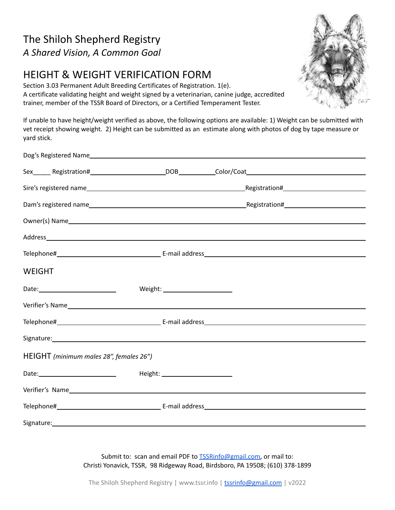## The Shiloh Shepherd Registry *A Shared Vision, A Common Goal*

## HEIGHT & WEIGHT VERIFICATION FORM

Section 3.03 Permanent Adult Breeding Certificates of Registration. 1(e). A certificate validating height and weight signed by a veterinarian, canine judge, accredited trainer, member of the TSSR Board of Directors, or a Certified Temperament Tester.

If unable to have height/weight verified as above, the following options are available: 1) Weight can be submitted with vet receipt showing weight. 2) Height can be submitted as an estimate along with photos of dog by tape measure or yard stick.

| <b>WEIGHT</b> |                                                                                                                                                                                                                                |                                                                                                                                                                                                                                |  |
|---------------|--------------------------------------------------------------------------------------------------------------------------------------------------------------------------------------------------------------------------------|--------------------------------------------------------------------------------------------------------------------------------------------------------------------------------------------------------------------------------|--|
|               |                                                                                                                                                                                                                                |                                                                                                                                                                                                                                |  |
|               |                                                                                                                                                                                                                                |                                                                                                                                                                                                                                |  |
|               |                                                                                                                                                                                                                                |                                                                                                                                                                                                                                |  |
|               |                                                                                                                                                                                                                                | Signature: contract to the contract of the contract of the contract of the contract of the contract of the contract of the contract of the contract of the contract of the contract of the contract of the contract of the con |  |
|               | HEIGHT (minimum males 28", females 26")                                                                                                                                                                                        |                                                                                                                                                                                                                                |  |
|               |                                                                                                                                                                                                                                |                                                                                                                                                                                                                                |  |
|               |                                                                                                                                                                                                                                |                                                                                                                                                                                                                                |  |
|               |                                                                                                                                                                                                                                |                                                                                                                                                                                                                                |  |
|               | Signature: Signature: Signature: Signature: Signature: Signature: Signature: Signature: Signature: Signature: Signature: Signature: Signature: Signature: Signature: Signature: Signature: Signature: Signature: Signature: Si |                                                                                                                                                                                                                                |  |
|               |                                                                                                                                                                                                                                |                                                                                                                                                                                                                                |  |

Submit to: scan and email PDF to **TSSRinfo@gmail.com**, or mail to: Christi Yonavick, TSSR, 98 Ridgeway Road, Birdsboro, PA 19508; (610) 378-1899

The Shiloh Shepherd Registry | www.tssr.info | [tssrinfo@gmail.com](mailto:tssrinfo@gmail.com) | v2022